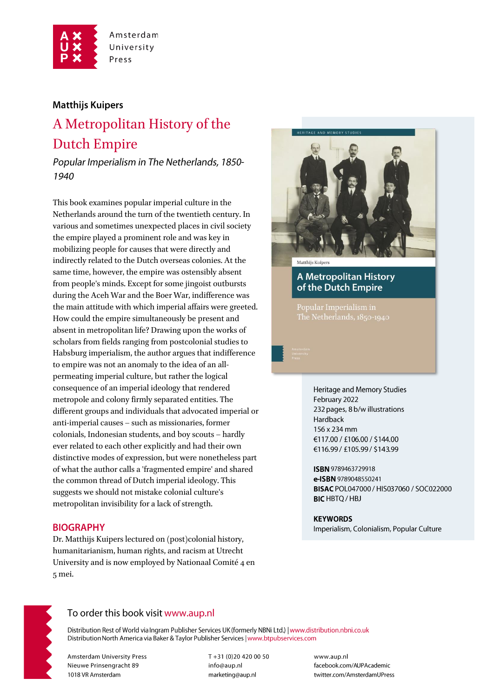

Amsterdam University Press

### **Matthijs Kuipers**

# A Metropolitan History of the **Dutch Empire**

Popular Imperialism in The Netherlands, 1850-1940

This book examines popular imperial culture in the Netherlands around the turn of the twentieth century. In various and sometimes unexpected places in civil society the empire played a prominent role and was key in mobilizing people for causes that were directly and indirectly related to the Dutch overseas colonies. At the same time, however, the empire was ostensibly absent from people's minds. Except for some jingoist outbursts during the Aceh War and the Boer War, indifference was the main attitude with which imperial affairs were greeted. How could the empire simultaneously be present and absent in metropolitan life? Drawing upon the works of scholars from fields ranging from postcolonial studies to Habsburg imperialism, the author argues that indifference to empire was not an anomaly to the idea of an allpermeating imperial culture, but rather the logical consequence of an imperial ideology that rendered metropole and colony firmly separated entities. The different groups and individuals that advocated imperial or anti-imperial causes - such as missionaries, former colonials, Indonesian students, and boy scouts - hardly ever related to each other explicitly and had their own distinctive modes of expression, but were nonetheless part of what the author calls a 'fragmented empire' and shared the common thread of Dutch imperial ideology. This suggests we should not mistake colonial culture's metropolitan invisibility for a lack of strength.

### **BIOGRAPHY**

Dr. Matthijs Kuipers lectured on (post)colonial history, humanitarianism, human rights, and racism at Utrecht University and is now employed by Nationaal Comité 4 en 5 mei.



**A Metropolitan History** of the Dutch Empire

Popular Imperialism in

Heritage and Memory Studies February 2022 232 pages, 8 b/w illustrations Hardback 156 x 234 mm €117.00 / £106.00 / \$144.00 €116.99 / £105.99 / \$143.99

ISBN 9789463729918 e-ISBN 9789048550241 BISAC POL047000 / HIS037060 / SOC022000 **BIC** HBTQ / HBJ

**KEYWORDS** Imperialism, Colonialism, Popular Culture



## To order this book visit www.aup.nl

Distribution Rest of World via Ingram Publisher Services UK (formerly NBNi Ltd.) | www.distribution.nbni.co.uk Distribution North America via Baker & Taylor Publisher Services | www.btpubservices.com

**Amsterdam University Press** Nieuwe Prinsengracht 89 1018 VR Amsterdam

T+31 (0)20 420 00 50 info@aup.nl marketing@aup.nl

www.aup.nl facebook.com/AUPAcademic twitter.com/AmsterdamUPress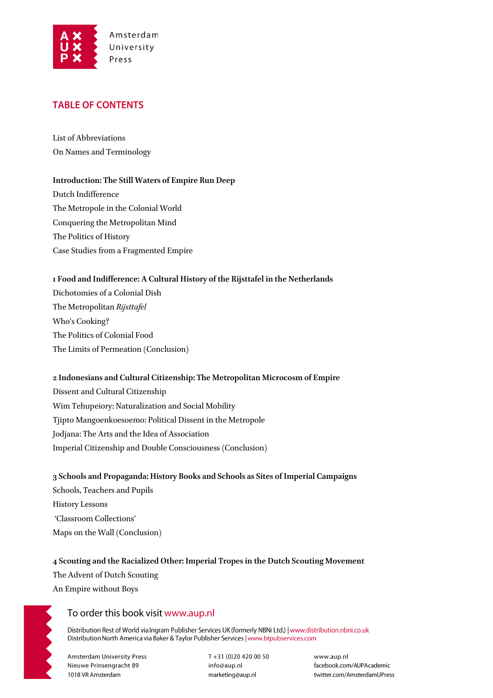

## **TABLE OF CONTENTS**

List of Abbreviations On Names and Terminology

#### **Introduction: The Still Waters of Empire Run Deep**

Dutch Indifference The Metropole in the Colonial World Conquering the Metropolitan Mind The Politics of History Case Studies from a Fragmented Empire

### **1 Food and Indifference: A Cultural History of the Rijsttafel in the Netherlands**

Dichotomies of a Colonial Dish The Metropolitan *Rijsttafel* Who's Cooking? The Politics of Colonial Food The Limits of Permeation (Conclusion)

## **2 Indonesians and Cultural Citizenship: The Metropolitan Microcosm of Empire** Dissent and Cultural Citizenship Wim Tehupeiory: Naturalization and Social Mobility Tjipto Mangoenkoesoemo: Political Dissent in the Metropole Jodjana: The Arts and the Idea of Association Imperial Citizenship and Double Consciousness (Conclusion)

**3 Schools and Propaganda: History Books and Schools as Sites of Imperial Campaigns** Schools, Teachers and Pupils History Lessons 'Classroom Collections' Maps on the Wall (Conclusion)

## **4 Scouting and the Racialized Other: Imperial Tropes in the Dutch Scouting Movement** The Advent of Dutch Scouting

An Empire without Boys

## To order this book visit www.aup.nl

Distribution Rest of World via Ingram Publisher Services UK (formerly NBNi Ltd.) | www.distribution.nbni.co.uk Distribution North America via Baker & Taylor Publisher Services | www.btpubservices.com

**Amsterdam University Press** Nieuwe Prinsengracht 89 1018 VR Amsterdam

T+31 (0)20 420 00 50 info@aup.nl marketing@aup.nl

www.aup.nl facebook.com/AUPAcademic twitter.com/AmsterdamUPress